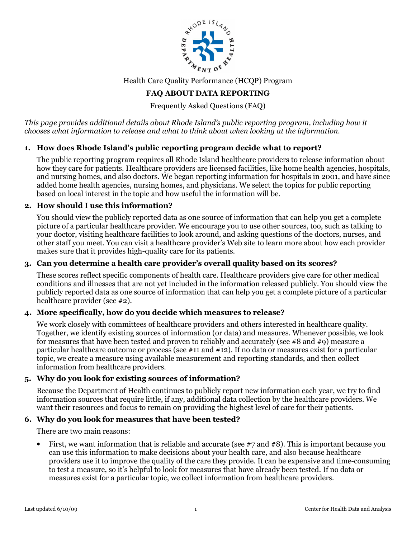

Health Care Quality Performance (HCQP) Program

# FAQ ABOUT DATA REPORTING

Frequently Asked Questions (FAQ)

This page provides additional details about Rhode Island's public reporting program, including how it chooses what information to release and what to think about when looking at the information.

# 1. How does Rhode Island's public reporting program decide what to report?

The public reporting program requires all Rhode Island healthcare providers to release information about how they care for patients. Healthcare providers are licensed facilities, like home health agencies, hospitals, and nursing homes, and also doctors. We began reporting information for hospitals in 2001, and have since added home health agencies, nursing homes, and physicians. We select the topics for public reporting based on local interest in the topic and how useful the information will be.

### 2. How should I use this information?

You should view the publicly reported data as one source of information that can help you get a complete picture of a particular healthcare provider. We encourage you to use other sources, too, such as talking to your doctor, visiting healthcare facilities to look around, and asking questions of the doctors, nurses, and other staff you meet. You can visit a healthcare provider's Web site to learn more about how each provider makes sure that it provides high-quality care for its patients.

## 3. Can you determine a health care provider's overall quality based on its scores?

These scores reflect specific components of health care. Healthcare providers give care for other medical conditions and illnesses that are not yet included in the information released publicly. You should view the publicly reported data as one source of information that can help you get a complete picture of a particular healthcare provider (see #2).

### 4. More specifically, how do you decide which measures to release?

We work closely with committees of healthcare providers and others interested in healthcare quality. Together, we identify existing sources of information (or data) and measures. Whenever possible, we look for measures that have been tested and proven to reliably and accurately (see  $\#8$  and  $\#9$ ) measure a particular healthcare outcome or process (see #11 and #12). If no data or measures exist for a particular topic, we create a measure using available measurement and reporting standards, and then collect information from healthcare providers.

### 5. Why do you look for existing sources of information?

Because the Department of Health continues to publicly report new information each year, we try to find information sources that require little, if any, additional data collection by the healthcare providers. We want their resources and focus to remain on providing the highest level of care for their patients.

### 6. Why do you look for measures that have been tested?

There are two main reasons:

• First, we want information that is reliable and accurate (see  $\#7$  and  $\#8$ ). This is important because you can use this information to make decisions about your health care, and also because healthcare providers use it to improve the quality of the care they provide. It can be expensive and time-consuming to test a measure, so it's helpful to look for measures that have already been tested. If no data or measures exist for a particular topic, we collect information from healthcare providers.